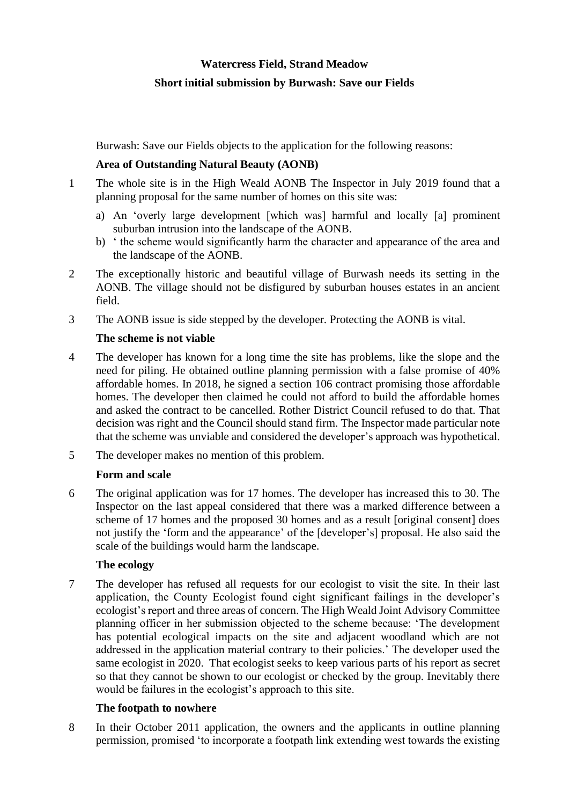# **Watercress Field, Strand Meadow**

### **Short initial submission by Burwash: Save our Fields**

Burwash: Save our Fields objects to the application for the following reasons:

# **Area of Outstanding Natural Beauty (AONB)**

- 1 The whole site is in the High Weald AONB The Inspector in July 2019 found that a planning proposal for the same number of homes on this site was:
	- a) An 'overly large development [which was] harmful and locally [a] prominent suburban intrusion into the landscape of the AONB.
	- b) ' the scheme would significantly harm the character and appearance of the area and the landscape of the AONB.
- 2 The exceptionally historic and beautiful village of Burwash needs its setting in the AONB. The village should not be disfigured by suburban houses estates in an ancient field.
- 3 The AONB issue is side stepped by the developer. Protecting the AONB is vital.

### **The scheme is not viable**

- 4 The developer has known for a long time the site has problems, like the slope and the need for piling. He obtained outline planning permission with a false promise of 40% affordable homes. In 2018, he signed a section 106 contract promising those affordable homes. The developer then claimed he could not afford to build the affordable homes and asked the contract to be cancelled. Rother District Council refused to do that. That decision was right and the Council should stand firm. The Inspector made particular note that the scheme was unviable and considered the developer's approach was hypothetical.
- 5 The developer makes no mention of this problem.

# **Form and scale**

6 The original application was for 17 homes. The developer has increased this to 30. The Inspector on the last appeal considered that there was a marked difference between a scheme of 17 homes and the proposed 30 homes and as a result [original consent] does not justify the 'form and the appearance' of the [developer's] proposal. He also said the scale of the buildings would harm the landscape.

# **The ecology**

7 The developer has refused all requests for our ecologist to visit the site. In their last application, the County Ecologist found eight significant failings in the developer's ecologist's report and three areas of concern. The High Weald Joint Advisory Committee planning officer in her submission objected to the scheme because: 'The development has potential ecological impacts on the site and adjacent woodland which are not addressed in the application material contrary to their policies.' The developer used the same ecologist in 2020. That ecologist seeks to keep various parts of his report as secret so that they cannot be shown to our ecologist or checked by the group. Inevitably there would be failures in the ecologist's approach to this site.

# **The footpath to nowhere**

8 In their October 2011 application, the owners and the applicants in outline planning permission, promised 'to incorporate a footpath link extending west towards the existing